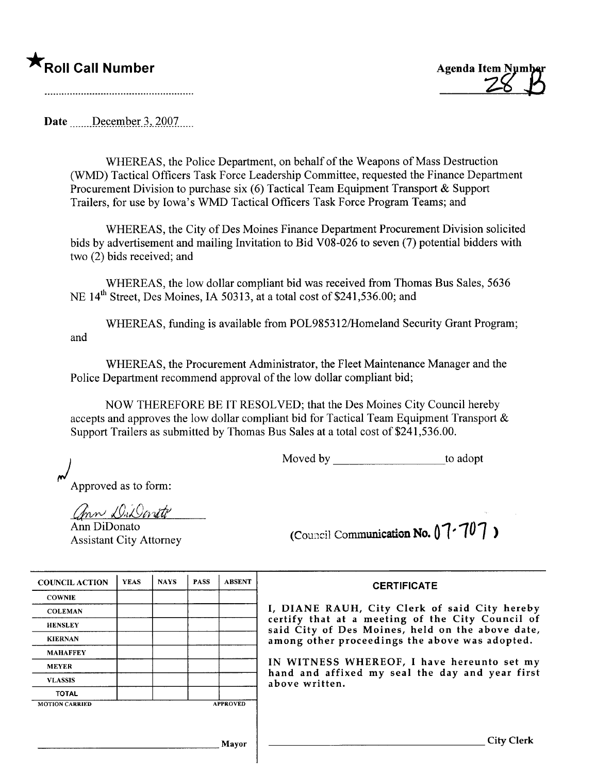



Date <u>December 3, 2007</u>

WHEREAS, the Police Department, on behalf of the Weapons of Mass Destruction (WMD) Tactical Officers Task Force Leadership Committee, requested the Finance Department Procurement Division to purchase six (6) Tactical Team Equipment Transport & Support Trailers, for use by Iowa's WMD Tactical Officers Task Force Program Teams: and

WHEREAS, the City of Des Moines Finance Department Procurement Division solicited bids by advertisement and mailing Invitation to Bid V08-026 to seven (7) potential bidders with two (2) bids received; and

WHEREAS, the low dollar compliant bid was received from Thomas Bus Sales, 5636 NE 14<sup>th</sup> Street, Des Moines, IA 50313, at a total cost of \$241,536.00; and

WHEREAS, funding is available from POL985312/Homeland Security Grant Program; and

WHEREAS, the Procurement Administrator, the Fleet Maintenance Manager and the Police Department recommend approval of the low dollar compliant bid;

NOW THEREFORE BE IT RESOLVED; that the Des Moines City Council hereby accepts and approves the low dollar compliant bid for Tactical Team Equipment Transport & Support Trailers as submitted by Thomas Bus Sales at a total cost of \$241 ,536.00.

Moved by to adopt

Approved as to form:

ann DiDonite

Ann DiDonato Assistant City Attorney

| (Council Communication No. $07 - 707$ ) |  |  |  |
|-----------------------------------------|--|--|--|
|                                         |  |  |  |

| <b>COUNCIL ACTION</b> | <b>YEAS</b> | <b>NAYS</b> | <b>PASS</b> | <b>ABSENT</b>   |
|-----------------------|-------------|-------------|-------------|-----------------|
| <b>COWNIE</b>         |             |             |             |                 |
| <b>COLEMAN</b>        |             |             |             |                 |
| <b>HENSLEY</b>        |             |             |             |                 |
| <b>KIERNAN</b>        |             |             |             |                 |
| <b>MAHAFFEY</b>       |             |             |             |                 |
| <b>MEYER</b>          |             |             |             |                 |
| <b>VLASSIS</b>        |             |             |             |                 |
| <b>TOTAL</b>          |             |             |             |                 |
| <b>MOTION CARRIED</b> |             |             |             | <b>APPROVED</b> |

## **CERTIFICATE**

DIANE RAUH, City Clerk of said City hereby certify that at a meeting of the City Council of said City of Des Moines, held on the above date, ong other proceedings the above was adopted.

WITNESS WHEREOF, I have hereunto set my hand and affixed my seal the day and year first ove written.